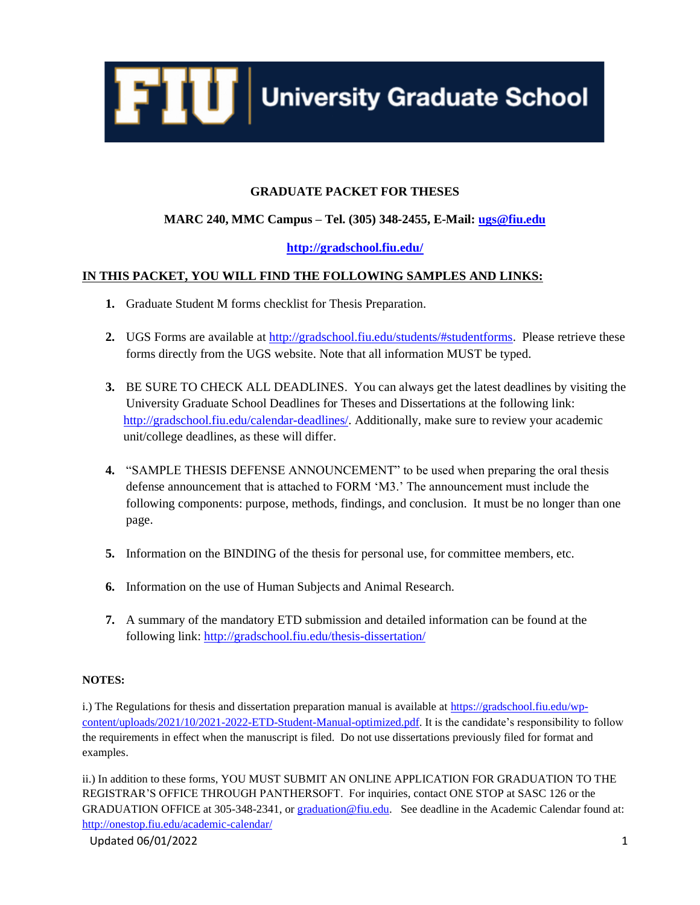

# **GRADUATE PACKET FOR THESES**

# **MARC 240, MMC Campus – Tel. (305) 348-2455, E-Mail: [ugs@fiu.edu](mailto:ugs@fiu.edu)**

# **<http://gradschool.fiu.edu/>**

# **IN THIS PACKET, YOU WILL FIND THE FOLLOWING SAMPLES AND LINKS:**

- **1.** Graduate Student M forms checklist for Thesis Preparation.
- **2.** UGS Forms are available at [http://gradschool.fiu.edu/students/#studentforms.](http://gradschool.fiu.edu/students/#studentforms) Please retrieve these forms directly from the UGS website. Note that all information MUST be typed.
- **3.** BE SURE TO CHECK ALL DEADLINES. You can always get the latest deadlines by visiting the University Graduate School Deadlines for Theses and Dissertations at the following link: [http://gradschool.fiu.edu/calendar-deadlines/.](http://gradschool.fiu.edu/calendar-deadlines/) Additionally, make sure to review your academic unit/college deadlines, as these will differ.
- **4.** "SAMPLE THESIS DEFENSE ANNOUNCEMENT" to be used when preparing the oral thesis defense announcement that is attached to FORM 'M3.' The announcement must include the following components: purpose, methods, findings, and conclusion. It must be no longer than one page.
- **5.** Information on the BINDING of the thesis for personal use, for committee members, etc.
- **6.** Information on the use of Human Subjects and Animal Research.
- **7.** A summary of the mandatory ETD submission and detailed information can be found at the following link:<http://gradschool.fiu.edu/thesis-dissertation/>

## **NOTES:**

i.) The Regulations for thesis and dissertation preparation manual is available at [https://gradschool.fiu.edu/wp](https://gradschool.fiu.edu/wp-content/uploads/2021/10/2021-2022-ETD-Student-Manual-optimized.pdf)[content/uploads/2021/10/2021-2022-ETD-Student-Manual-optimized.pdf.](https://gradschool.fiu.edu/wp-content/uploads/2021/10/2021-2022-ETD-Student-Manual-optimized.pdf) It is the candidate's responsibility to follow the requirements in effect when the manuscript is filed. Do not use dissertations previously filed for format and examples.

ii.) In addition to these forms, YOU MUST SUBMIT AN ONLINE APPLICATION FOR GRADUATION TO THE REGISTRAR'S OFFICE THROUGH PANTHERSOFT. For inquiries, contact ONE STOP at SASC 126 or the GRADUATION OFFICE at 305-348-2341, or [graduation@fiu.edu.](mailto:graduation@fiu.edu) See deadline in the Academic Calendar found at: <http://onestop.fiu.edu/academic-calendar/>

Updated 06/01/2022 2012 12:00:00 12:00:00 12:00:00 12:00:00 12:00:00 12:00:00 12:00:00 12:00:00 12:00:00 12:00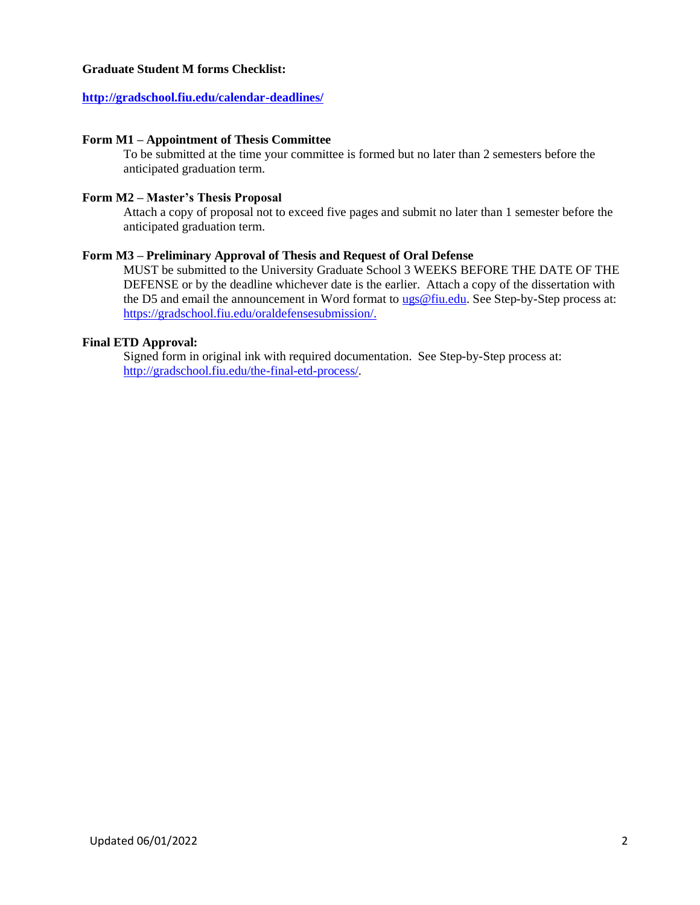## **Graduate Student M forms Checklist:**

## **<http://gradschool.fiu.edu/calendar-deadlines/>**

#### **Form M1 – Appointment of Thesis Committee**

To be submitted at the time your committee is formed but no later than 2 semesters before the anticipated graduation term.

## **Form M2 – Master's Thesis Proposal**

Attach a copy of proposal not to exceed five pages and submit no later than 1 semester before the anticipated graduation term.

#### **Form M3 – Preliminary Approval of Thesis and Request of Oral Defense**

MUST be submitted to the University Graduate School 3 WEEKS BEFORE THE DATE OF THE DEFENSE or by the deadline whichever date is the earlier. Attach a copy of the dissertation with the D5 and email the announcement in Word format to [ugs@fiu.edu.](mailto:ugs@fiu.edu) See Step-by-Step process at: [https://gradschool.fiu.edu/oraldefensesubmission/.](https://gradschool.fiu.edu/oraldefensesubmission/)

### **Final ETD Approval:**

Signed form in original ink with required documentation. See Step-by-Step process at: [http://gradschool.fiu.edu/the-final-etd-process/.](http://gradschool.fiu.edu/the-final-etd-process/)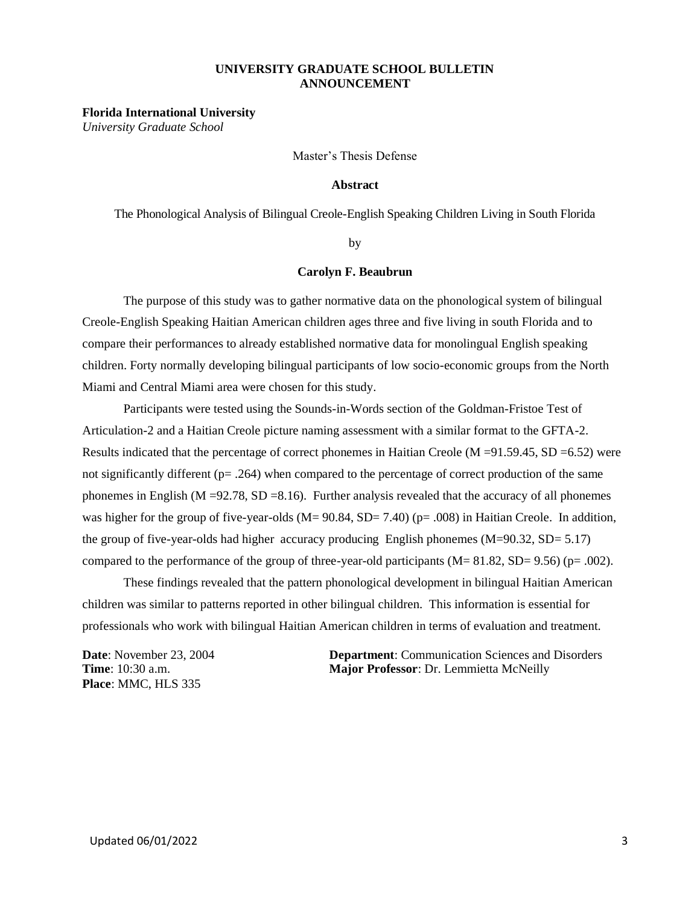#### **UNIVERSITY GRADUATE SCHOOL BULLETIN ANNOUNCEMENT**

**Florida International University**

*University Graduate School*

Master's Thesis Defense

#### **Abstract**

The Phonological Analysis of Bilingual Creole-English Speaking Children Living in South Florida

by

#### **Carolyn F. Beaubrun**

The purpose of this study was to gather normative data on the phonological system of bilingual Creole-English Speaking Haitian American children ages three and five living in south Florida and to compare their performances to already established normative data for monolingual English speaking children. Forty normally developing bilingual participants of low socio-economic groups from the North Miami and Central Miami area were chosen for this study.

Participants were tested using the Sounds-in-Words section of the Goldman-Fristoe Test of Articulation-2 and a Haitian Creole picture naming assessment with a similar format to the GFTA-2. Results indicated that the percentage of correct phonemes in Haitian Creole (M =91.59.45, SD =6.52) were not significantly different (p= .264) when compared to the percentage of correct production of the same phonemes in English (M =92.78, SD =8.16). Further analysis revealed that the accuracy of all phonemes was higher for the group of five-year-olds (M= 90.84, SD= 7.40) (p= .008) in Haitian Creole. In addition, the group of five-year-olds had higher accuracy producing English phonemes (M=90.32, SD= 5.17) compared to the performance of the group of three-year-old participants  $(M= 81.82, SD= 9.56)$  (p= .002).

These findings revealed that the pattern phonological development in bilingual Haitian American children was similar to patterns reported in other bilingual children. This information is essential for professionals who work with bilingual Haitian American children in terms of evaluation and treatment.

**Place**: MMC, HLS 335

**Department**: Communication Sciences and Disorders **Department**: Communication Sciences and Disorders **Time**: 10:30 a.m. **Major Professor**: Dr. Lemmietta McNeilly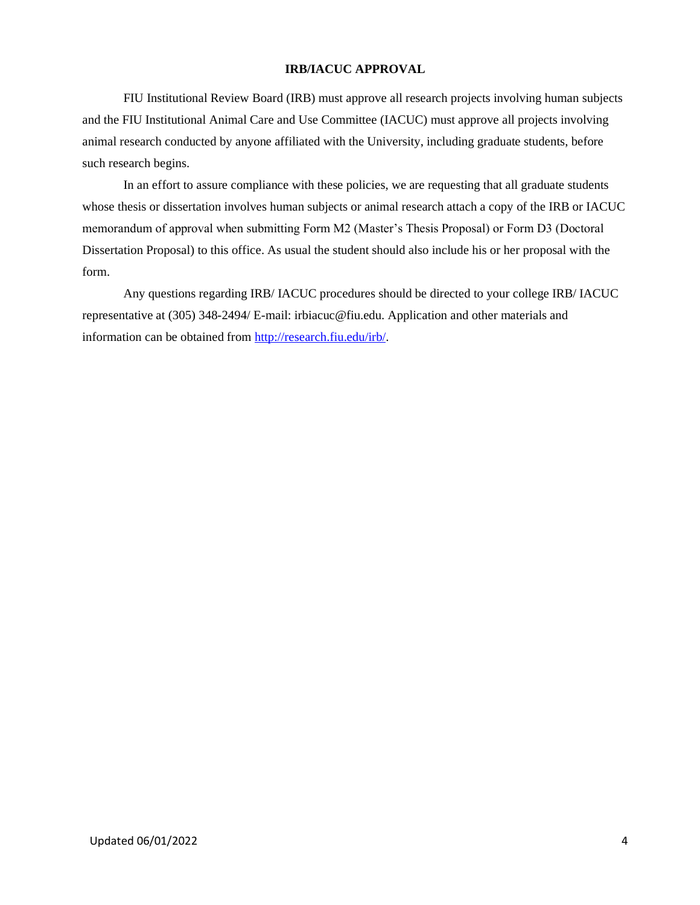### **IRB/IACUC APPROVAL**

FIU Institutional Review Board (IRB) must approve all research projects involving human subjects and the FIU Institutional Animal Care and Use Committee (IACUC) must approve all projects involving animal research conducted by anyone affiliated with the University, including graduate students, before such research begins.

 In an effort to assure compliance with these policies, we are requesting that all graduate students whose thesis or dissertation involves human subjects or animal research attach a copy of the IRB or IACUC memorandum of approval when submitting Form M2 (Master's Thesis Proposal) or Form D3 (Doctoral Dissertation Proposal) to this office. As usual the student should also include his or her proposal with the form.

 Any questions regarding IRB/ IACUC procedures should be directed to your college IRB/ IACUC representative at (305) 348-2494/ E-mail: irbiacuc@fiu.edu. Application and other materials and information can be obtained fro[m http://research.fiu.edu/irb/.](http://research.fiu.edu/irb/)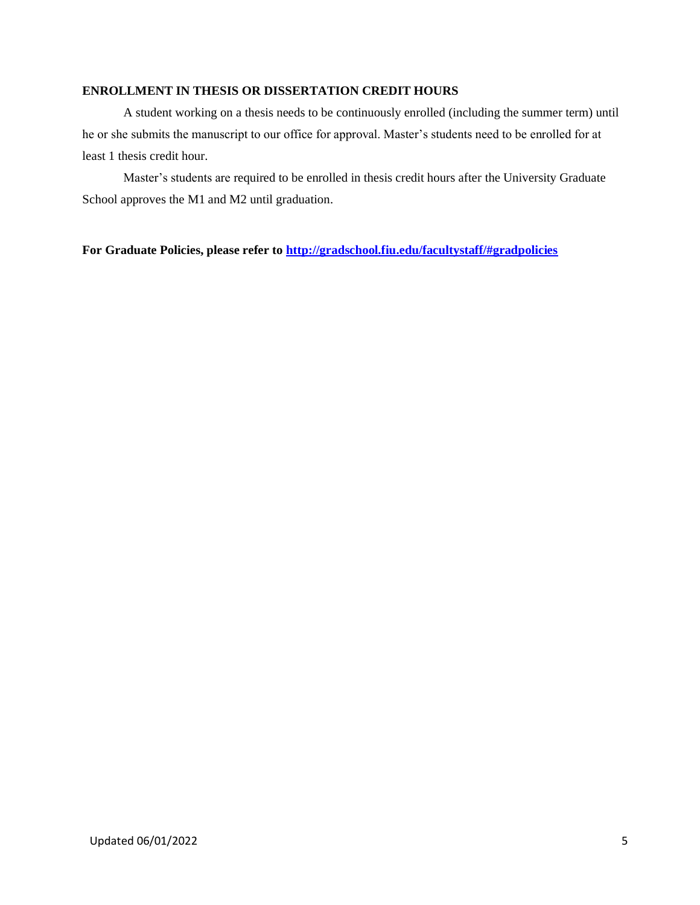## **ENROLLMENT IN THESIS OR DISSERTATION CREDIT HOURS**

A student working on a thesis needs to be continuously enrolled (including the summer term) until he or she submits the manuscript to our office for approval. Master's students need to be enrolled for at least 1 thesis credit hour.

Master's students are required to be enrolled in thesis credit hours after the University Graduate School approves the M1 and M2 until graduation.

**For Graduate Policies, please refer to<http://gradschool.fiu.edu/facultystaff/#gradpolicies>**